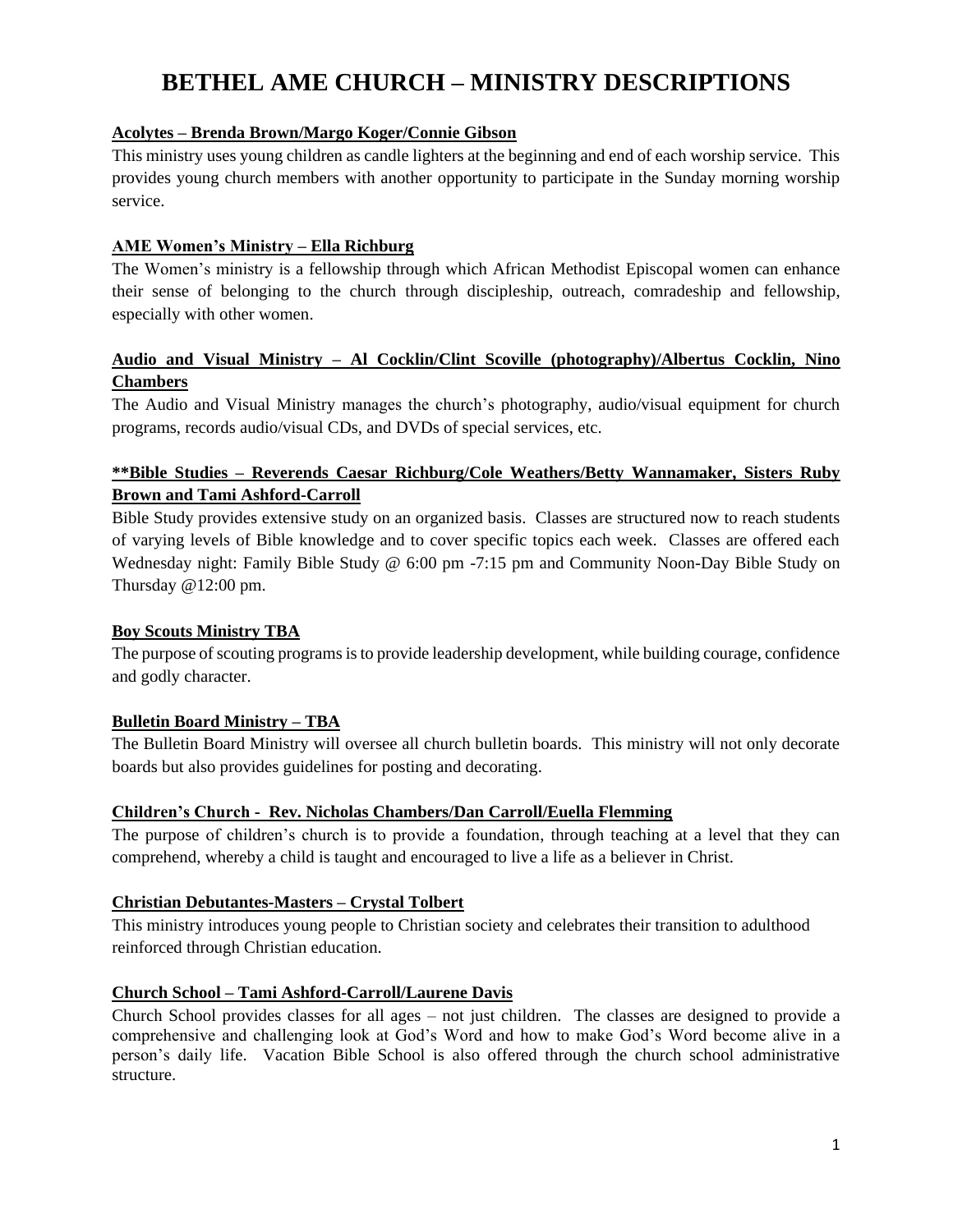# **BETHEL AME CHURCH – MINISTRY DESCRIPTIONS**

# **Acolytes – Brenda Brown/Margo Koger/Connie Gibson**

This ministry uses young children as candle lighters at the beginning and end of each worship service. This provides young church members with another opportunity to participate in the Sunday morning worship service.

## **AME Women's Ministry – Ella Richburg**

The Women's ministry is a fellowship through which African Methodist Episcopal women can enhance their sense of belonging to the church through discipleship, outreach, comradeship and fellowship, especially with other women.

# **Audio and Visual Ministry – Al Cocklin/Clint Scoville (photography)/Albertus Cocklin, Nino Chambers**

The Audio and Visual Ministry manages the church's photography, audio/visual equipment for church programs, records audio/visual CDs, and DVDs of special services, etc.

# **\*\*Bible Studies – Reverends Caesar Richburg/Cole Weathers/Betty Wannamaker, Sisters Ruby Brown and Tami Ashford-Carroll**

Bible Study provides extensive study on an organized basis. Classes are structured now to reach students of varying levels of Bible knowledge and to cover specific topics each week. Classes are offered each Wednesday night: Family Bible Study @ 6:00 pm -7:15 pm and Community Noon-Day Bible Study on Thursday @12:00 pm.

## **Boy Scouts Ministry TBA**

The purpose of scouting programs is to provide leadership development, while building courage, confidence and godly character.

# **Bulletin Board Ministry – TBA**

The Bulletin Board Ministry will oversee all church bulletin boards. This ministry will not only decorate boards but also provides guidelines for posting and decorating.

## **Children's Church - Rev. Nicholas Chambers/Dan Carroll/Euella Flemming**

The purpose of children's church is to provide a foundation, through teaching at a level that they can comprehend, whereby a child is taught and encouraged to live a life as a believer in Christ.

# **Christian Debutantes-Masters – Crystal Tolbert**

This ministry introduces young people to Christian society and celebrates their transition to adulthood reinforced through Christian education.

## **Church School – Tami Ashford-Carroll/Laurene Davis**

Church School provides classes for all ages – not just children. The classes are designed to provide a comprehensive and challenging look at God's Word and how to make God's Word become alive in a person's daily life. Vacation Bible School is also offered through the church school administrative structure.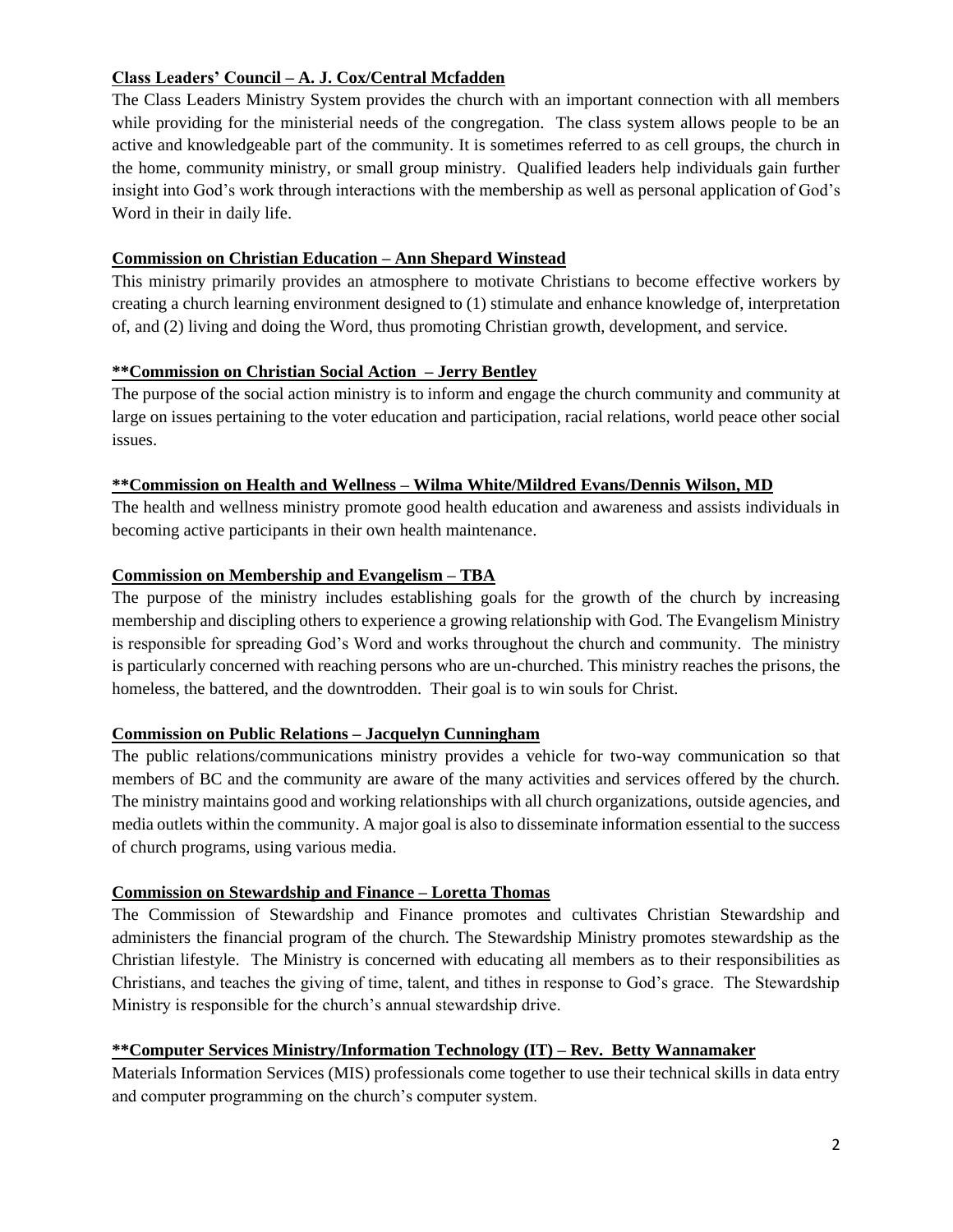# **Class Leaders' Council** *–* **A. J. Cox/Central Mcfadden**

The Class Leaders Ministry System provides the church with an important connection with all members while providing for the ministerial needs of the congregation. The class system allows people to be an active and knowledgeable part of the community. It is sometimes referred to as cell groups, the church in the home, community ministry, or small group ministry. Qualified leaders help individuals gain further insight into God's work through interactions with the membership as well as personal application of God's Word in their in daily life.

## **Commission on Christian Education – Ann Shepard Winstead**

This ministry primarily provides an atmosphere to motivate Christians to become effective workers by creating a church learning environment designed to (1) stimulate and enhance knowledge of, interpretation of, and (2) living and doing the Word, thus promoting Christian growth, development, and service.

## **\*\*Commission on Christian Social Action – Jerry Bentley**

The purpose of the social action ministry is to inform and engage the church community and community at large on issues pertaining to the voter education and participation, racial relations, world peace other social issues.

## **\*\*Commission on Health and Wellness – Wilma White/Mildred Evans/Dennis Wilson, MD**

The health and wellness ministry promote good health education and awareness and assists individuals in becoming active participants in their own health maintenance.

## **Commission on Membership and Evangelism – TBA**

The purpose of the ministry includes establishing goals for the growth of the church by increasing membership and discipling others to experience a growing relationship with God. The Evangelism Ministry is responsible for spreading God's Word and works throughout the church and community. The ministry is particularly concerned with reaching persons who are un-churched. This ministry reaches the prisons, the homeless, the battered, and the downtrodden. Their goal is to win souls for Christ.

#### **Commission on Public Relations – Jacquelyn Cunningham**

The public relations/communications ministry provides a vehicle for two-way communication so that members of BC and the community are aware of the many activities and services offered by the church. The ministry maintains good and working relationships with all church organizations, outside agencies, and media outlets within the community. A major goal is also to disseminate information essential to the success of church programs, using various media.

#### **Commission on Stewardship and Finance – Loretta Thomas**

The Commission of Stewardship and Finance promotes and cultivates Christian Stewardship and administers the financial program of the church. The Stewardship Ministry promotes stewardship as the Christian lifestyle. The Ministry is concerned with educating all members as to their responsibilities as Christians, and teaches the giving of time, talent, and tithes in response to God's grace. The Stewardship Ministry is responsible for the church's annual stewardship drive.

## **\*\*Computer Services Ministry/Information Technology (IT) – Rev. Betty Wannamaker**

Materials Information Services (MIS) professionals come together to use their technical skills in data entry and computer programming on the church's computer system.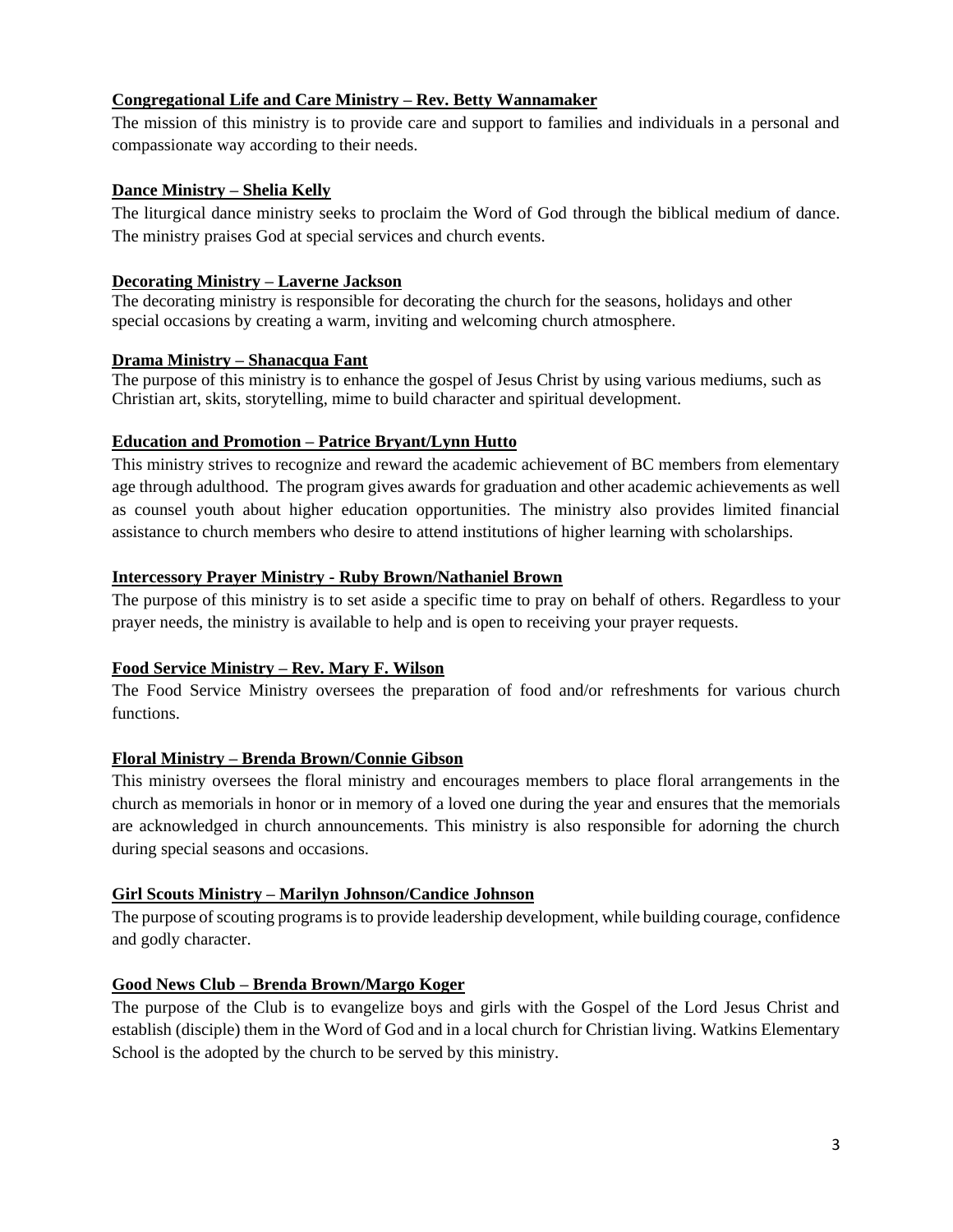## **Congregational Life and Care Ministry – Rev. Betty Wannamaker**

The mission of this ministry is to provide care and support to families and individuals in a personal and compassionate way according to their needs.

## **Dance Ministry – Shelia Kelly**

The liturgical dance ministry seeks to proclaim the Word of God through the biblical medium of dance. The ministry praises God at special services and church events.

## **Decorating Ministry – Laverne Jackson**

The decorating ministry is responsible for decorating the church for the seasons, holidays and other special occasions by creating a warm, inviting and welcoming church atmosphere.

## **Drama Ministry – Shanacqua Fant**

The purpose of this ministry is to enhance the gospel of Jesus Christ by using various mediums, such as Christian art, skits, storytelling, mime to build character and spiritual development.

## **Education and Promotion – Patrice Bryant/Lynn Hutto**

This ministry strives to recognize and reward the academic achievement of BC members from elementary age through adulthood. The program gives awards for graduation and other academic achievements as well as counsel youth about higher education opportunities. The ministry also provides limited financial assistance to church members who desire to attend institutions of higher learning with scholarships.

## **Intercessory Prayer Ministry - Ruby Brown/Nathaniel Brown**

The purpose of this ministry is to set aside a specific time to pray on behalf of others. Regardless to your prayer needs, the ministry is available to help and is open to receiving your prayer requests.

## **Food Service Ministry – Rev. Mary F. Wilson**

The Food Service Ministry oversees the preparation of food and/or refreshments for various church functions.

## **Floral Ministry – Brenda Brown/Connie Gibson**

This ministry oversees the floral ministry and encourages members to place floral arrangements in the church as memorials in honor or in memory of a loved one during the year and ensures that the memorials are acknowledged in church announcements. This ministry is also responsible for adorning the church during special seasons and occasions.

## **Girl Scouts Ministry – Marilyn Johnson/Candice Johnson**

The purpose of scouting programs is to provide leadership development, while building courage, confidence and godly character.

## **Good News Club – Brenda Brown/Margo Koger**

The purpose of the Club is to evangelize boys and girls with the Gospel of the Lord Jesus Christ and establish (disciple) them in the Word of God and in a local church for Christian living. Watkins Elementary School is the adopted by the church to be served by this ministry.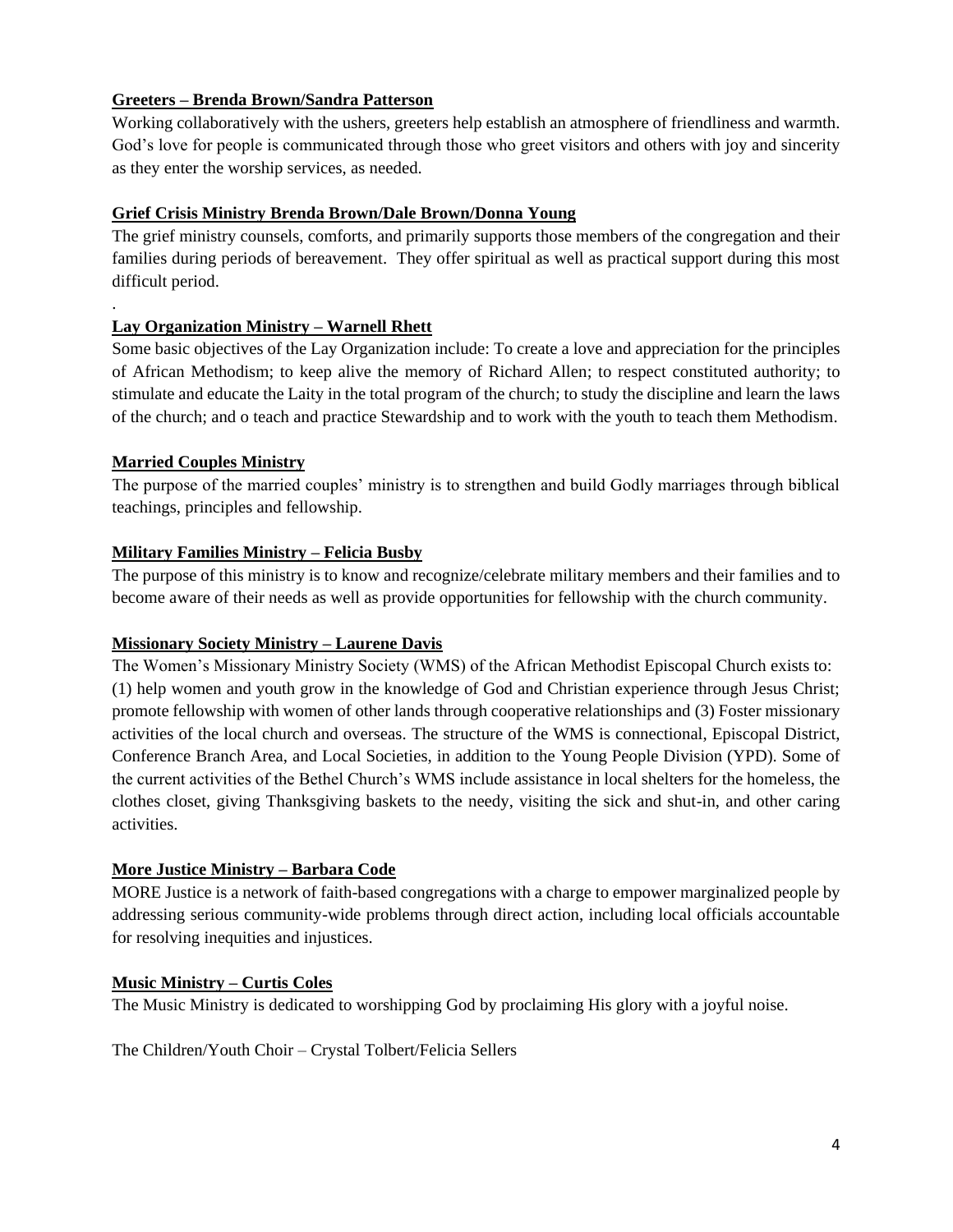## **Greeters – Brenda Brown/Sandra Patterson**

Working collaboratively with the ushers, greeters help establish an atmosphere of friendliness and warmth. God's love for people is communicated through those who greet visitors and others with joy and sincerity as they enter the worship services, as needed.

## **Grief Crisis Ministry Brenda Brown/Dale Brown/Donna Young**

The grief ministry counsels, comforts, and primarily supports those members of the congregation and their families during periods of bereavement. They offer spiritual as well as practical support during this most difficult period.

## **Lay Organization Ministry – Warnell Rhett**

Some basic objectives of the Lay Organization include: To create a love and appreciation for the principles of African Methodism; to keep alive the memory of Richard Allen; to respect constituted authority; to stimulate and educate the Laity in the total program of the church; to study the discipline and learn the laws of the church; and o teach and practice Stewardship and to work with the youth to teach them Methodism.

## **Married Couples Ministry**

.

The purpose of the married couples' ministry is to strengthen and build Godly marriages through biblical teachings, principles and fellowship.

## **Military Families Ministry – Felicia Busby**

The purpose of this ministry is to know and recognize/celebrate military members and their families and to become aware of their needs as well as provide opportunities for fellowship with the church community.

#### **Missionary Society Ministry – Laurene Davis**

The Women's Missionary Ministry Society (WMS) of the African Methodist Episcopal Church exists to: (1) help women and youth grow in the knowledge of God and Christian experience through Jesus Christ; promote fellowship with women of other lands through cooperative relationships and (3) Foster missionary activities of the local church and overseas. The structure of the WMS is connectional, Episcopal District, Conference Branch Area, and Local Societies, in addition to the Young People Division (YPD). Some of the current activities of the Bethel Church's WMS include assistance in local shelters for the homeless, the clothes closet, giving Thanksgiving baskets to the needy, visiting the sick and shut-in, and other caring activities.

#### **More Justice Ministry – Barbara Code**

MORE Justice is a network of faith-based congregations with a charge to empower marginalized people by addressing serious community-wide problems through direct action, including local officials accountable for resolving inequities and injustices.

#### **Music Ministry – Curtis Coles**

The Music Ministry is dedicated to worshipping God by proclaiming His glory with a joyful noise.

The Children/Youth Choir – Crystal Tolbert/Felicia Sellers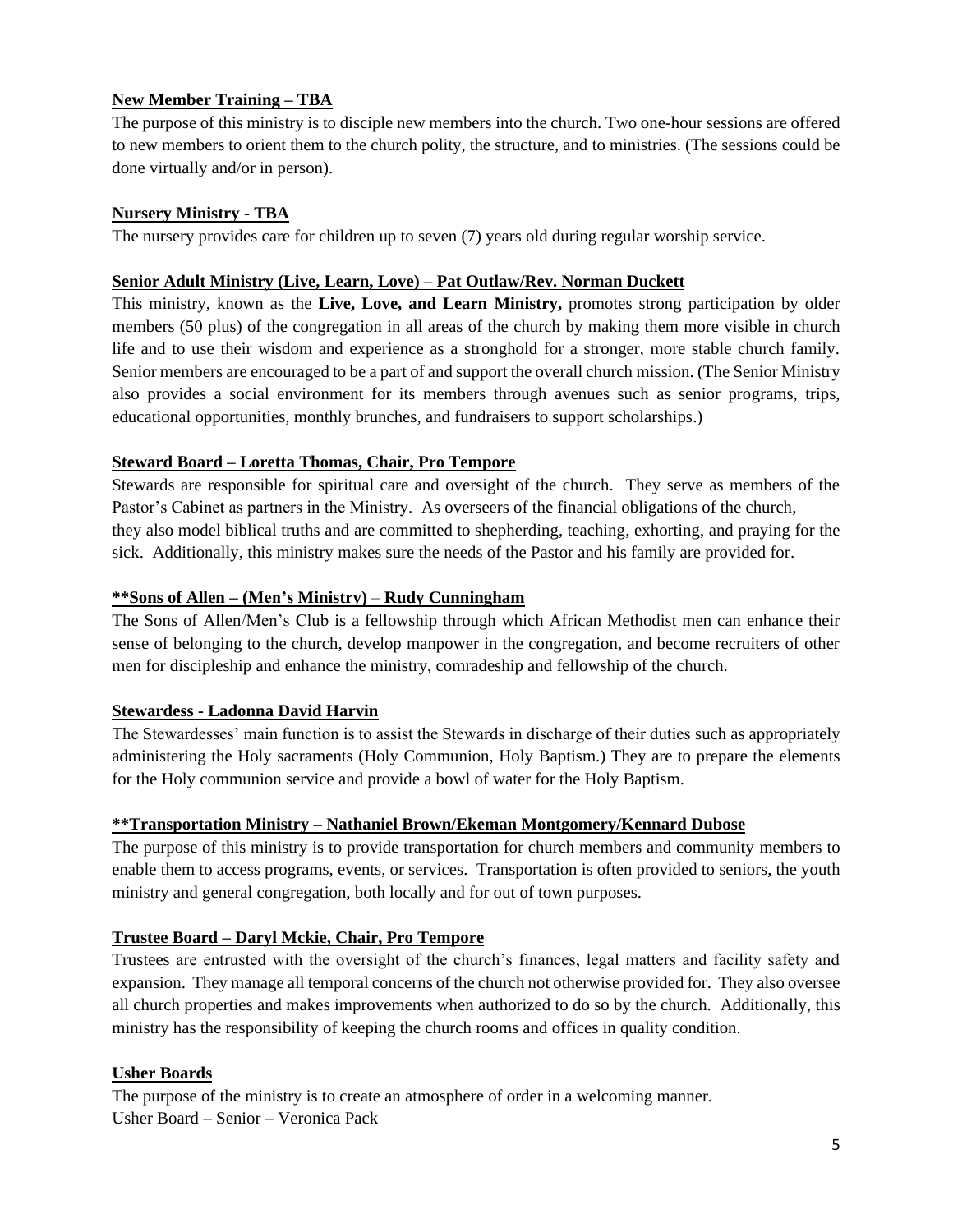## **New Member Training – TBA**

The purpose of this ministry is to disciple new members into the church. Two one-hour sessions are offered to new members to orient them to the church polity, the structure, and to ministries. (The sessions could be done virtually and/or in person).

## **Nursery Ministry - TBA**

The nursery provides care for children up to seven (7) years old during regular worship service.

#### **Senior Adult Ministry (Live, Learn, Love) – Pat Outlaw/Rev. Norman Duckett**

This ministry, known as the **Live, Love, and Learn Ministry,** promotes strong participation by older members (50 plus) of the congregation in all areas of the church by making them more visible in church life and to use their wisdom and experience as a stronghold for a stronger, more stable church family. Senior members are encouraged to be a part of and support the overall church mission. (The Senior Ministry also provides a social environment for its members through avenues such as senior programs, trips, educational opportunities, monthly brunches, and fundraisers to support scholarships.)

## **Steward Board – Loretta Thomas, Chair, Pro Tempore**

Stewards are responsible for spiritual care and oversight of the church. They serve as members of the Pastor's Cabinet as partners in the Ministry. As overseers of the financial obligations of the church, they also model biblical truths and are committed to shepherding, teaching, exhorting, and praying for the sick. Additionally, this ministry makes sure the needs of the Pastor and his family are provided for.

#### **\*\*Sons of Allen – (Men's Ministry)** – **Rudy Cunningham**

The Sons of Allen/Men's Club is a fellowship through which African Methodist men can enhance their sense of belonging to the church, develop manpower in the congregation, and become recruiters of other men for discipleship and enhance the ministry, comradeship and fellowship of the church.

## **Stewardess - Ladonna David Harvin**

The Stewardesses' main function is to assist the Stewards in discharge of their duties such as appropriately administering the Holy sacraments (Holy Communion, Holy Baptism.) They are to prepare the elements for the Holy communion service and provide a bowl of water for the Holy Baptism.

#### **\*\*Transportation Ministry – Nathaniel Brown/Ekeman Montgomery/Kennard Dubose**

The purpose of this ministry is to provide transportation for church members and community members to enable them to access programs, events, or services. Transportation is often provided to seniors, the youth ministry and general congregation, both locally and for out of town purposes.

## **Trustee Board – Daryl Mckie, Chair, Pro Tempore**

Trustees are entrusted with the oversight of the church's finances, legal matters and facility safety and expansion. They manage all temporal concerns of the church not otherwise provided for. They also oversee all church properties and makes improvements when authorized to do so by the church. Additionally, this ministry has the responsibility of keeping the church rooms and offices in quality condition.

#### **Usher Boards**

The purpose of the ministry is to create an atmosphere of order in a welcoming manner. Usher Board – Senior – Veronica Pack